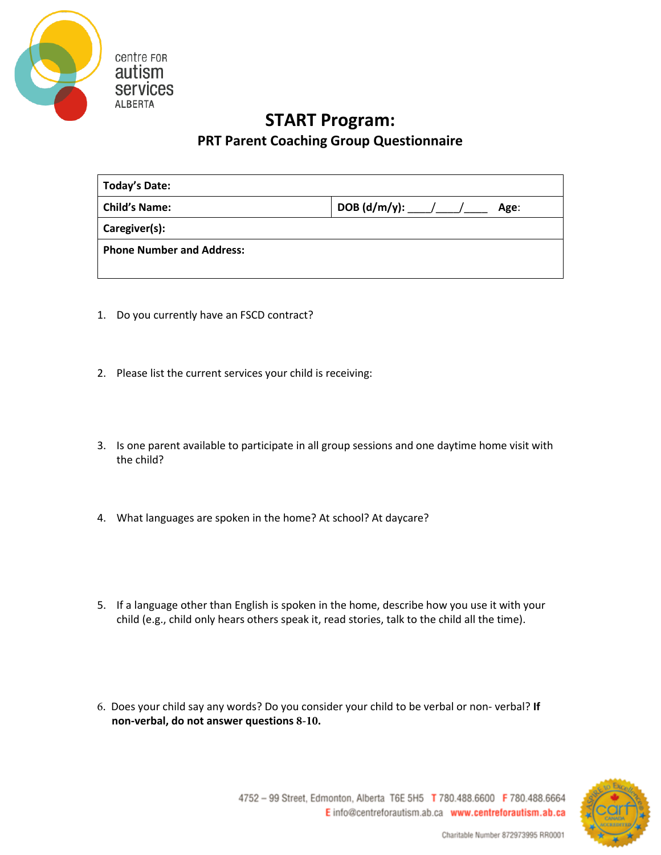

# **START Program: PRT Parent Coaching Group Questionnaire**

| Today's Date:                    |                            |
|----------------------------------|----------------------------|
| <b>Child's Name:</b>             | $DOB (d/m/y):$ / /<br>Age: |
| Caregiver(s):                    |                            |
| <b>Phone Number and Address:</b> |                            |
|                                  |                            |

- 1. Do you currently have an FSCD contract?
- 2. Please list the current services your child is receiving:
- 3. Is one parent available to participate in all group sessions and one daytime home visit with the child?
- 4. What languages are spoken in the home? At school? At daycare?
- 5. If a language other than English is spoken in the home, describe how you use it with your child (e.g., child only hears others speak it, read stories, talk to the child all the time).
- 6. Does your child say any words? Do you consider your child to be verbal or non- verbal? **If non-verbal, do not answer questions 8-10.**